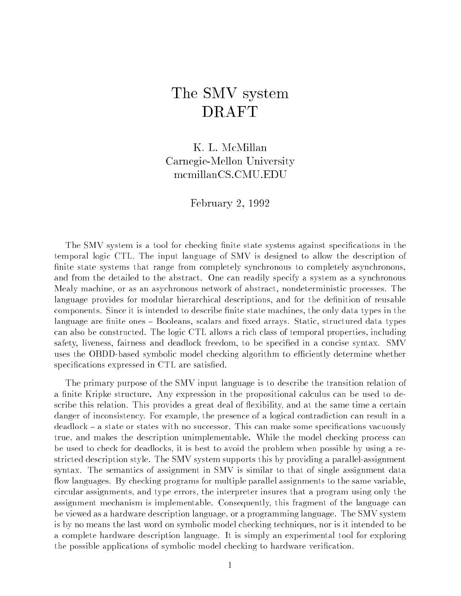# The SMV system DRAFT

K. L. McMillan  $C$ -Mellon University University University University  $C$ mcmillanCS.CMU.EDU

February 2, <sup>1992</sup>

The SMV system is a tool for checking finite state systems against specifications in the temporal logic CTL. The input language of SMV is designed to allow the description of finite state systems that range from completely synchronous to completely asynchronous, and from the detailed to the abstract. One can readily specify a system as a synchronous Mealy machine, or as an asychronous network of abstract, nondeterministic processes. The language provides for modular hierarchical descriptions, and for the definition of reusable components. Since it is intended to describe finite state machines, the only data types in the language are finite ones – Booleans, scalars and fixed arrays. Static, structured data types can also be constructed. The logic CTL allows a rich class of temporal properties, including safety, liveness, fairness and deadlock freedom, to be specified in a concise syntax. SMV uses the OBDD-based symbolic model checking algorithm to efficiently determine whether specifications expressed in CTL are satisfied.

The primary purpose of the SMV input language is to describe the transition relation of a finite Kripke structure. Any expression in the propositional calculus can be used to describe this relation. This provides a great deal of flexibility, and at the same time a certain danger of inconsistency. For example, the presence of a logical contradiction can result in a  $dealogate - a state$  or states with no successor. This can make some specifications vacuously true, and makes the description unimplementable. While the model checking process can be used to check for deadlocks, it is best to avoid the problem when possible by using a restricted description style. The SMV system supports this by providing a parallel-assignment syntax. The semantics of assignment in SMV is similar to that of single assignment data flow languages. By checking programs for multiple parallel assignments to the same variable, circular assignments, and type errors, the interpreter insures that a program using only the assignment mechanism is implementable. Consequently, this fragment of the language can be viewed as a hardware description language, or a programming language. The SMV system is by no means the last word on symbolic model checking techniques, nor is it intended to be a complete hardware description language. It is simply an experimental tool for exploring the possible applications of symbolic model checking to hardware verication.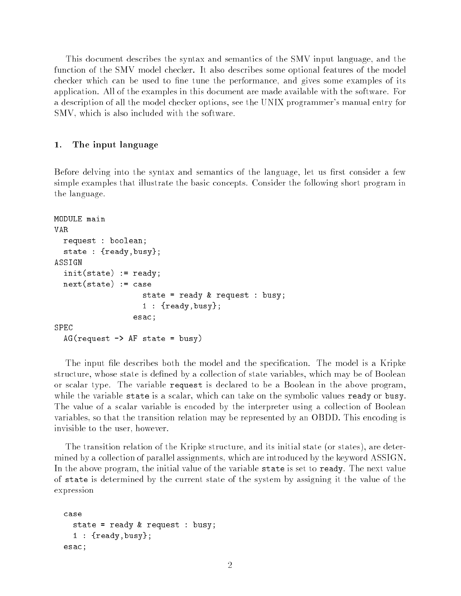This document describes the syntax and semantics of the SMV input language, and the function of the SMV model checker. It also describes some optional features of the model checker which can be used to fine tune the performance, and gives some examples of its application. All of the examples in this document are made available with the software. For a description of all the model checker options, see the UNIX programmer's manual entry for SMV, which is also included with the software.

#### 1. The input language

Before delving into the syntax and semantics of the language, let us first consider a few simple examples that illustrate the basic concepts. Consider the following short program in the language.

```
MODULE main
VAR.
  request : boolean;
  state : {ready,busy};
ASSIGN
  init(state) := ready;
  next(state) := case
                     state = ready & request : busy;
                     1 : {ready,busy};
                  esac;
  AG(request \rightarrow AF state = busy)
```
The input file describes both the model and the specification. The model is a Kripke structure, whose state is defined by a collection of state variables, which may be of Boolean or scalar type. The variable request is declared to be a Boolean in the above program, while the variable state is a scalar, which can take on the symbolic values ready or busy. The value of a scalar variable is encoded by the interpreter using a collection of Boolean variables, so that the transition relation may be represented by an OBDD. This encoding is invisible to the user, however.

The transition relation of the Kripke structure, and its initial state (or states), are determined by a collection of parallel assignments, which are introduced by the keyword ASSIGN. In the above program, the initial value of the variable state is set to ready. The next value of state is determined by the current state of the system by assigning it the value of the expression

```
case
  state = ready & request : busy;
  1 : {ready,busy};
esac;
```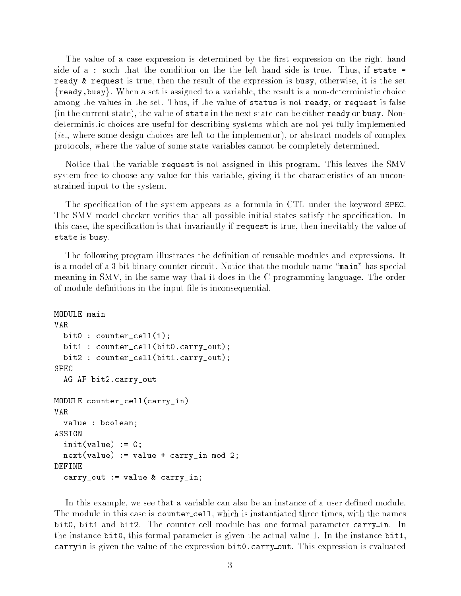The value of a case expression is determined by the first expression on the right hand side of a : such that the condition on the the left hand side is true. Thus, if state = ready & request is true, then the result of the expression is busy, otherwise, it is the set  ${r_{\text{ready}}},$  busy. When a set is assigned to a variable, the result is a non-deterministic choice among the values in the set. Thus, if the value of status is not ready, or request is false (in the current state), the value of state in the next state can be either ready or busy. Nondeterministic choices are useful for describing systems which are not yet fully implemented (ie., where some design choices are left to the implementor), or abstract models of complex protocols, where the value of some state variables cannot be completely determined.

Notice that the variable request is not assigned in this program. This leaves the SMV system free to choose any value for this variable, giving it the characteristics of an unconstrained input to the system.

The specification of the system appears as a formula in CTL under the keyword SPEC. The SMV model checker verifies that all possible initial states satisfy the specification. In this case, the specication is that invariantly if request is true, then inevitably the value of state is busy.

The following program illustrates the definition of reusable modules and expressions. It is a model of a 3 bit binary counter circuit. Notice that the module name "main" has special meaning in SMV, in the same way that it does in the C programming language. The order of module definitions in the input file is inconsequential.

```
VAR.
  bit0 : counter\_cell(1);bit1 : counter_cell(bit0.carry_out);
  bit2 : counter_cell(bit1.carry_out);
SPEC
  AG AF bit2.carry_out
MODULE counter_cell(carry_in)
VAR.
  value : boolean;
ASSIGN
  init(value) := 0;next(value) := value + carry_in mod 2;DEFINE
  carry_out := value & carry_in;
```
In this example, we see that a variable can also be an instance of a user defined module. The module in this case is counter-cell, which is instantiated three times, with the names bit0, bit1 and bit2. The counter cell module has one formal parameter carry in. In the instance bit0, this formal parameter is given the actual value 1. In the instance bit1, carryin is given the value of the expression bit0.carry out. This expression is evaluated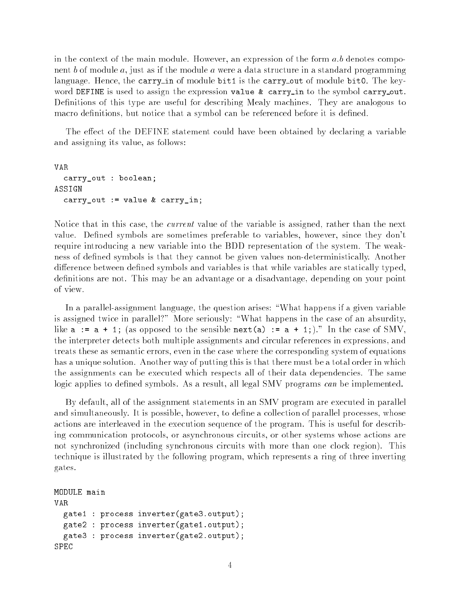in the context of the main module. However, an expression of the form  $a.b$  denotes component b of module a, just as if the module <sup>a</sup> were a data structure in a standard programming language. Hence, the carry in of module bit1 is the carry out of module bit0. The keyword DEFINE is used to assign the expression value  $\&$  carry\_in to the symbol carry\_out. Definitions of this type are useful for describing Mealy machines. They are analogous to macro definitions, but notice that a symbol can be referenced before it is defined.

The effect of the DEFINE statement could have been obtained by declaring a variable and assigning its value, as follows:

```
VAR
  carry_out : boolean;
ASSIGN
  carry_out := value & carry_in;
```
Notice that in this case, the current value of the variable is assigned, rather than the next value. Defined symbols are sometimes preferable to variables, however, since they don't require introducing a new variable into the BDD representation of the system. The weakness of defined symbols is that they cannot be given values non-deterministically. Another difference between defined symbols and variables is that while variables are statically typed, definitions are not. This may be an advantage or a disadvantage, depending on your point of view.

In a parallel-assignment language, the question arises: \What happens if a given variable is assigned twice in parallel?" More seriously: "What happens in the case of an absurdity, like  $a := a + 1$ ; (as opposed to the sensible next(a) :=  $a + 1$ ;)." In the case of SMV, the interpreter detects both multiple assignments and circular references in expressions, and treats these as semantic errors, even in the case where the corresponding system of equations has a unique solution. Another way of putting this is that there must be a total order in which the assignments can be executed which respects all of their data dependencies. The same logic applies to defined symbols. As a result, all legal SMV programs can be implemented.

By default, all of the assignment statements in an SMV program are executed in parallel and simultaneously. It is possible, however, to define a collection of parallel processes, whose actions are interleaved in the execution sequence of the program. This is useful for describing communication protocols, or asynchronous circuits, or other systems whose actions are not synchronized (including synchronous circuits with more than one clock region). This technique is illustrated by the following program, which represents a ring of three inverting gates.

```
MODULE main
VAR.
  gate1 : process inverter(gate3.output);
 gate2 : process inverter(gate1.output);
  gate3 : process inverter(gate2.output);
SPEC
```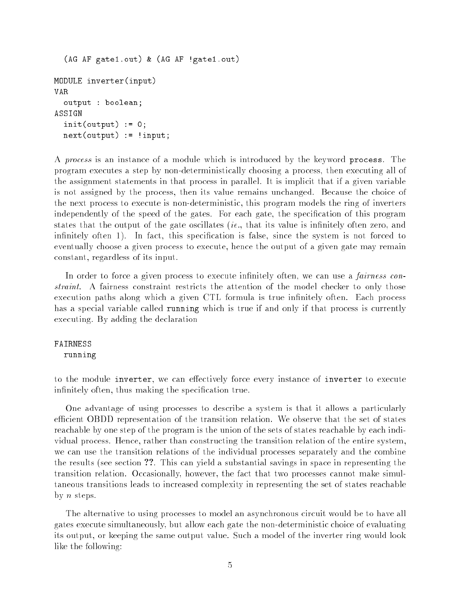```
(AG AF gate1.out) & (AG AF !gate1.out)
MODULE inverter(input)
VAR
  output : boolean;
ASSIGN
  init(out) := 0;next(output) := !input;
```
A process is an instance of a module which is introduced by the keyword process. The program executes a step by non-deterministically choosing a process, then executing all of the assignment statements in that process in parallel. It is implicit that if a given variable is not assigned by the process, then its value remains unchanged. Because the choice of the next process to execute is non-deterministic, this program models the ring of inverters independently of the speed of the gates. For each gate, the specication of this program states that the output of the gate oscillates *(ie., that its value is infinitely often zero, and* infinitely often 1). In fact, this specification is false, since the system is not forced to eventually choose a given process to execute, hence the output of a given gate may remain constant, regardless of its input.

In order to force a given process to execute infinitely often, we can use a *fairness con*straint. A fairness constraint restricts the attention of the model checker to only those execution paths along which a given CTL formula is true infinitely often. Each process has a special variable called running which is true if and only if that process is currently executing. By adding the declaration

### FAIRNESS

running

to the module inverter, we can effectively force every instance of inverter to execute infinitely often, thus making the specification true.

One advantage of using processes to describe a system is that it allows a particularly efficient OBDD representation of the transition relation. We observe that the set of states reachable by one step of the program is the union of the sets of states reachable by each individual process. Hence, rather than constructing the transition relation of the entire system, we can use the transition relations of the individual processes separately and the combine the results (see section ??. This can yield a substantial savings in space in representing the transition relation. Occasionally, however, the fact that two processes cannot make simultaneous transitions leads to increased complexity in representing the set of states reachable by  $n$  steps.

The alternative to using processes to model an asynchronous circuit would be to have all gates execute simultaneously, but allow each gate the non-deterministic choice of evaluating its output, or keeping the same output value. Such a model of the inverter ring would look like the following: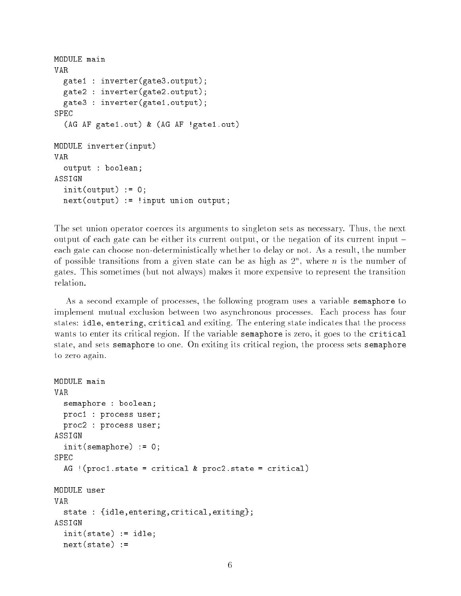```
MODULE main
VAR
  gate1 : inverter(gate3.output);
  gate2 : inverter(gate2.output);
 gate3 : inverter(gate1.output);
SPEC
  (AG AF gate1.out) & (AG AF !gate1.out)
MODULE inverter(input)
VAR
  output : boolean;
ASSIGN
  init(out) := 0;next(output) := !input union output;
```
The set union operator coerces its arguments to singleton sets as necessary. Thus, the next output of each gate can be either its current output, or the negation of its current input  $\overline{\phantom{a}}$ each gate can choose non-deterministically whether to delay or not. As a result, the number of possible transitions from a given state can be as high as  $2^\circ$ , where  $n$  is the number of gates. This sometimes (but not always) makes it more expensive to represent the transition relation.

As a second example of processes, the following program uses a variable semaphore to implement mutual exclusion between two asynchronous processes. Each process has four states: idle, entering, critical and exiting. The entering state indicates that the process wants to enter its critical region. If the variable semaphore is zero, it goes to the critical state, and sets semaphore to one. On exiting its critical region, the process sets semaphore to zero again.

```
MODULE main
VAR
  semaphore : boolean;
  proc1 : process user;
 proc2 : process user;
ASSIGN
  init(semaphore) := 0;
SPFC
  AG !(proc1.state = critical & proc2.state = critical)
VAR
  state : {idle,entering,critical,exiting};
  init(state) := idle;
  next(state) :=
```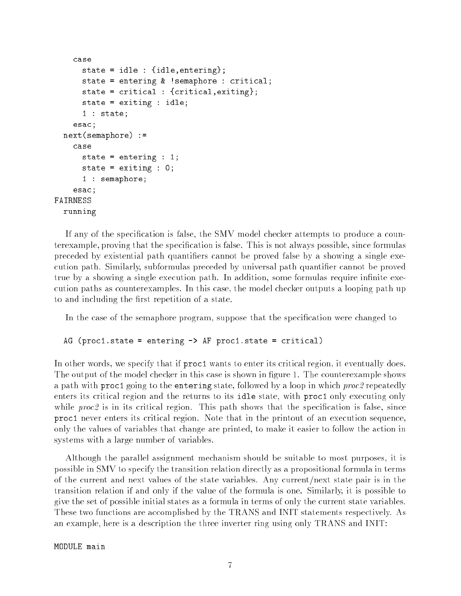```
case
      state = idle : {idle,entering};
      state = entering & !semaphore : critical;
      state = critical : {critical,exiting};
      state = exiting : idle;
      1 : state;
    esac;
 next(semaphore) :=
    case
      state = entering : 1;
      state = exiting : 0;
      1 : semaphore;
    esac;
FAIRNESS
  running
```
If any of the specication is false, the SMV model checker attempts to produce a counterexample, proving that the specification is false. This is not always possible, since formulas preceded by existential path quantifiers cannot be proved false by a showing a single execution path. Similarly, subformulas preceded by universal path quantifier cannot be proved true by a showing a single execution path. In addition, some formulas require infinite execution paths as counterexamples. In this case, the model checker outputs a looping path up to and including the first repetition of a state.

In the case of the semaphore program, suppose that the specication were changed to

### AG (proc1.state = entering -> AF proc1.state = critical)

In other words, we specify that if proc1 wants to enter its critical region, it eventually does. The output of the model checker in this case is shown in figure 1. The counterexample shows a path with proc1 going to the entering state, followed by a loop in which proc2 repeatedly enters its critical region and the returns to its idle state, with proc1 only executing only while  $proc2$  is in its critical region. This path shows that the specification is false, since proc1 never enters its critical region. Note that in the printout of an execution sequence, only the values of variables that change are printed, to make it easier to follow the action in systems with a large number of variables.

Although the parallel assignment mechanism should be suitable to most purposes, it is possible in SMV to specify the transition relation directly as a propositional formula in terms of the current and next values of the state variables. Any current/next state pair is in the transition relation if and only if the value of the formula is one. Similarly, it is possible to give the set of possible initial states as a formula in terms of only the current state variables. These two functions are accomplished by the TRANS and INIT statements respectively. As an example, here is a description the three inverter ring using only TRANS and INIT:

MODULE main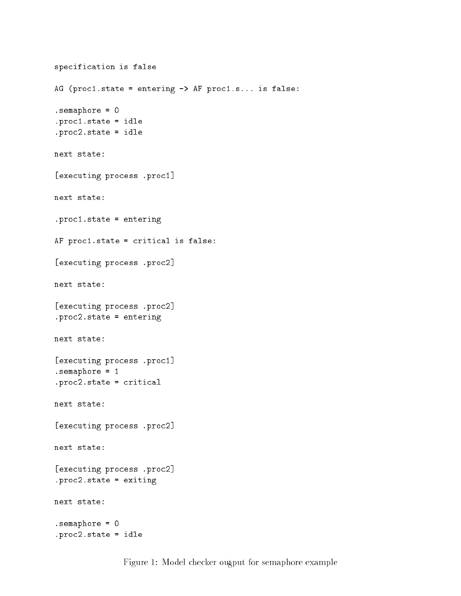```
specification is false
AG (proc1.state = entering -> AF proc1.s... is false:
.semaphore = 0
.proc1.state = idle
.proc2.state = idle
next state:
[executing process .proc1]
next state:
.proc1.state = entering
AF proc1.state = critical is false:
[executing process .proc2]
next state:
[executing process .proc2]
.proc2.state = entering
next state:
[executing process .proc1]
.semaphore = 1
.proc2.state = critical
next state:
[executing process .proc2]
next state:
[executing process .proc2]
.proc2.state = exiting
next state:
.semaphore = 0
.proc2.state = idle
```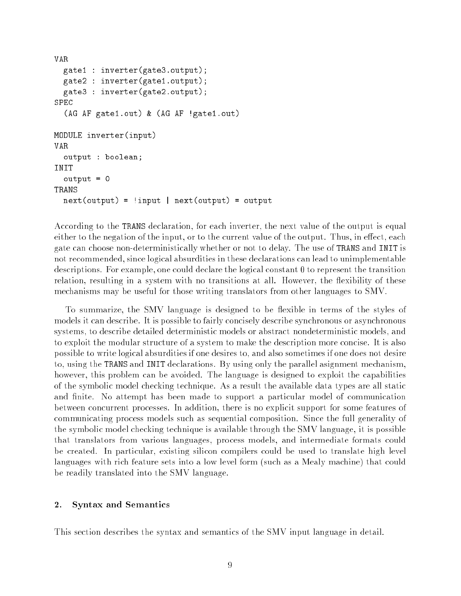```
VAR
 gate1 : inverter(gate3.output);
 gate2 : inverter(gate1.output);
 gate3 : inverter(gate2.output);
SPEC
  (AG AF gate1.out) & (AG AF !gate1.out)
MODULE inverter(input)
VAR
 output : boolean;
INIT
  output = 0TRANS
 next(out) = 'input \mid next(out) = output
```
According to the TRANS declaration, for each inverter, the next value of the output is equal either to the negation of the input, or to the current value of the output. Thus, in effect, each gate can choose non-deterministically whether or not to delay. The use of TRANS and INIT is not recommended, since logical absurdities in these declarations can lead to unimplementable descriptions. For example, one could declare the logical constant 0 to represent the transition relation, resulting in a system with no transitions at all. However, the flexibility of these mechanisms may be useful for those writing translators from other languages to SMV.

To summarize, the SMV language is designed to be flexible in terms of the styles of models it can describe. It is possible to fairly concisely describe synchronous or asynchronous systems, to describe detailed deterministic models or abstract nondeterministic models, and to exploit the modular structure of a system to make the description more concise. It is also possible to write logical absurdities if one desires to, and also sometimes if one does not desire to, using the TRANS and INIT declarations. By using only the parallel asignment mechanism, however, this problem can be avoided. The language is designed to exploit the capabilities of the symbolic model checking technique. As a result the available data types are all static and finite. No attempt has been made to support a particular model of communication between concurrent processes. In addition, there is no explicit support for some features of communicating process models such as sequential composition. Since the full generality of the symbolic model checking technique is available through the SMV language, it is possible that translators from various languages, process models, and intermediate formats could be created. In particular, existing silicon compilers could be used to translate high level languages with rich feature sets into a low level form (such as a Mealy machine) that could be readily translated into the SMV language.

#### $2.$ **Syntax and Semantics**

This section describes the syntax and semantics of the SMV input language in detail.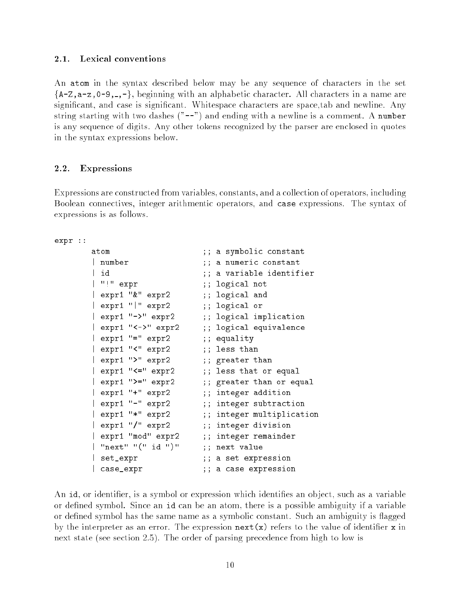#### $2.1.$ Lexical conventions

An atom in the syntax described below may be any sequence of characters in the set  ${A-Z, a-z, 0-9, ...,}$ , beginning with an alphabetic character. All characters in a name are signicant, and case is signicant. Whitespace characters are space,tab and newline. Any string starting with two dashes  $("--")$  and ending with a newline is a comment. A number is any sequence of digits. Any other tokens recognized by the parser are enclosed in quotes in the syntax expressions below.

## 2.2. Expressions

Expressions are constructed from variables, constants, and a collection of operators, including Boolean connectives, integer arithmentic operators, and case expressions. The syntax of expressions is as follows.

expr ::

```
atom ;; a symbolic constant
| number
                     ;; a numeric constant
                     ;; a variable identifier
\overline{\phantom{a}} id
| "!" expr ;; logical not
| expr1 "&" expr2 ;; logical and
| expr1 "|" expr2 ;; logical or
| expr1 "->" expr2 ;; logical implication
| expr1 "<->" expr2 ;; logical equivalence
| expr1 "=" expr2 ;; equality
| expr1 "<" expr2 ;; less than
| expr1 ">" expr2 ;; greater than
| expr1 "<=" expr2 ;; less that or equal
| expr1 ">=" expr2 ;; greater than or equal
| expr1 "+" expr2 ;; integer addition
| expr1 "-" expr2 ;; integer subtraction
| expr1 "*" expr2 ;; integer multiplication
| expr1 "/" expr2 ;; integer division
| expr1 "mod" expr2 ;; integer remainder
| "next" "(" id ")" ;; next value
| set_expr ;; a set expression
| case_expr ;; a case expression
```
An id, or identifier, is a symbol or expression which identifies an object, such as a variable or defined symbol. Since an id can be an atom, there is a possible ambiguity if a variable or defined symbol has the same name as a symbolic constant. Such an ambiguity is flagged by the interpreter as an error. The expression  $\texttt{next}(x)$  refers to the value of identifier x in next state (see section 2.5). The order of parsing precedence from high to low is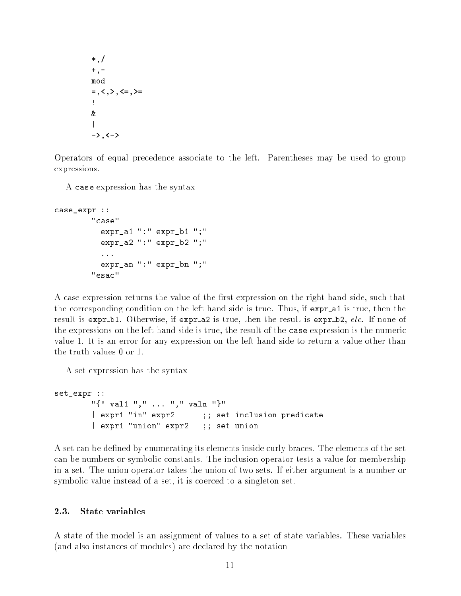```
*,/
+,-
mod
=, <, >, >, <=, >=
Ţ.
\&\mathsf{I}\rightarrow, \leftarrow
```
Operators of equal precedence associate to the left. Parentheses may be used to group expressions.

A case expression has the syntax

```
case_expr ::
        "case"
          expr_a1 ":" expr_b1 ";"
          expr_a2 ":" expr_b2 ";"
          ...
          expr_an ":" expr_bn ";"
        "esac"
```
A case expression returns the value of the first expression on the right hand side, such that the corresponding condition on the left hand side is true. Thus, if  $expr_au$  is true, then the result is expr b1. Otherwise, if expr a 2 is true, then the result is expr b2, etc. If none of the expressions on the left hand side is true, the result of the case expression is the numeric value 1. It is an error for any expression on the left hand side to return a value other than the truth values 0 or 1.

A set expression has the syntax

```
set_expr ::
        "{" val1 "," ... "," valn "}"
        | expr1 "in" expr2 (1); set inclusion predicate
        | expr1 "union" expr2 ;; set union
```
A set can be dened by enumerating its elements inside curly braces. The elements of the set can be numbers or symbolic constants. The inclusion operator tests a value for membership in a set. The union operator takes the union of two sets. If either argument is a number or symbolic value instead of a set, it is coerced to a singleton set.

#### 2.3. State variables

A state of the model is an assignment of values to a set of state variables. These variables (and also instances of modules) are declared by the notation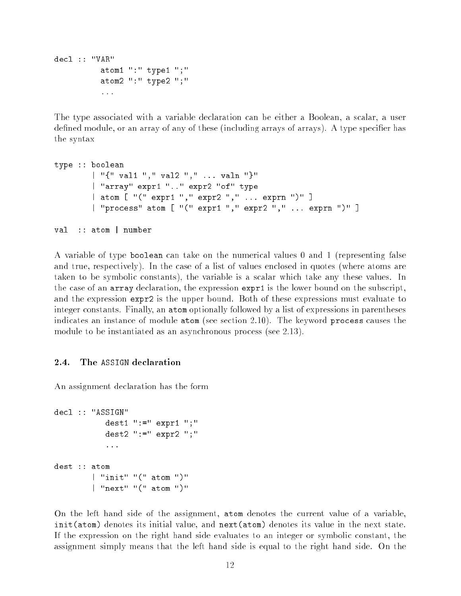```
decl :: "VAR"
          atom1 ":" type1 ";"
          atom2 ":" type2 ";"
          ...
```
The type associated with a variable declaration can be either a Boolean, a scalar, a user defined module, or an array of any of these (including arrays of arrays). A type specifier has the syntax

```
type :: boolean
        | "{" val1 "," val2 "," ... valn "}"
        | "array" expr1 ".." expr2 "of" type
        | atom [ "(" expr1 "," expr2 "," ... exprn ")" ]
        | "process" atom [ "(" expr1 "," expr2 "," ... exprn ")" ]
```
val :: atom | number

A variable of type boolean can take on the numerical values 0 and 1 (representing false and true, respectively). In the case of a list of values enclosed in quotes (where atoms are taken to be symbolic constants), the variable is a scalar which take any these values. In the case of an array declaration, the expression expr1 is the lower bound on the subscript, and the expression expr2 is the upper bound. Both of these expressions must evaluate to integer constants. Finally, an atom optionally followed by a list of expressions in parentheses indicates an instance of module atom (see section 2.10). The keyword process causes the module to be instantiated as an asynchronous process (see 2.13).

#### The ASSIGN declaration 2.4.

An assignment declaration has the form

```
decl :: "ASSIGN"
           dest1 ":=" expr1 ";"
           dest2 ":=" expr2 ";"
           ...
dest :: atom| "init" "(" atom ")"
        | "next" "(" atom ")"
```
On the left hand side of the assignment, atom denotes the current value of a variable, init(atom) denotes its initial value, and next(atom) denotes its value in the next state. If the expression on the right hand side evaluates to an integer or symbolic constant, the assignment simply means that the left hand side is equal to the right hand side. On the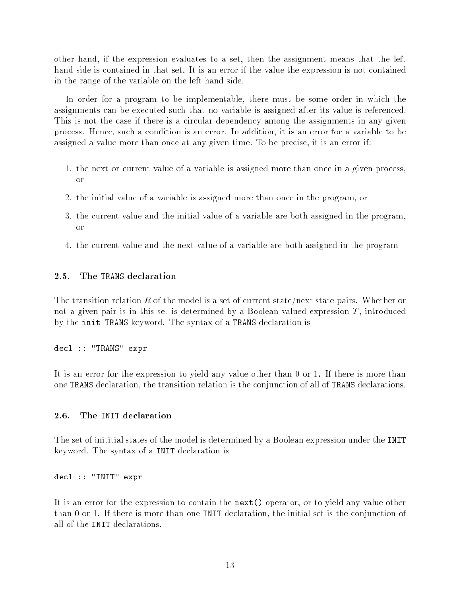other hand, if the expression evaluates to a set, then the assignment means that the left hand side is contained in that set. It is an error if the value the expression is not contained in the range of the variable on the left hand side.

In order for a program to be implementable, there must be some order in which the assignments can be executed such that no variable is assigned after its value is referenced. This is not the case if there is a circular dependency among the assignments in any given process. Hence, such a condition is an error. In addition, it is an error for a variable to be assigned a value more than once at any given time. To be precise, it is an error if:

- 1. the next or current value of a variable is assigned more than once in a given process, or
- 2. the initial value of a variable is assigned more than once in the program, or
- 3. the current value and the initial value of a variable are both assigned in the program, or
- 4. the current value and the next value of a variable are both assigned in the program

#### $2.5.$ The TRANS declaration

The transition relation R of the model is a set of current state/next state pairs. Whether or not a given pair is in this set is determined by a Boolean valued expression  $T$ , introduced by the init TRANS keyword. The syntax of a TRANS declaration is

decl :: "TRANS" expr

It is an error for the expression to yield any value other than 0 or 1. If there is more than one TRANS declaration, the transition relation is the conjunction of all of TRANS declarations.

#### 2.6. The INIT declaration

The set of inititial states of the model is determined by a Boolean expression under the INIT keyword. The syntax of a INIT declaration is

decl :: "INIT" expr

It is an error for the expression to contain the next() operator, or to yield any value other than 0 or 1. If there is more than one INIT declaration, the initial set is the conjunction of all of the INIT declarations.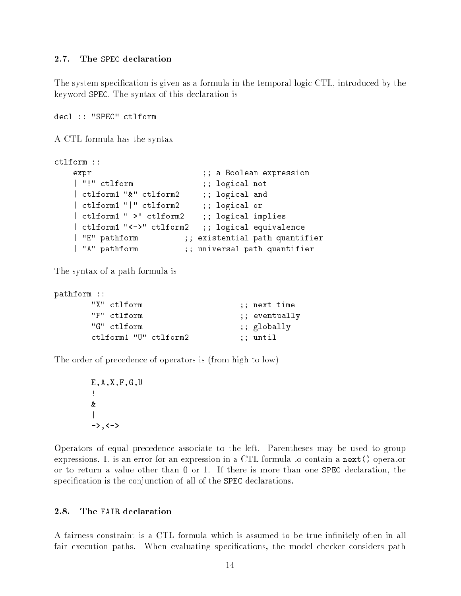#### $2.7.$ The SPEC declaration

The system specication is given as a formula in the temporal logic CTL, introduced by the keyword SPEC. The syntax of this declaration is

```
decl :: "SPEC" ctlform
```
A CTL formula has the syntax

```
ctlform ::
   expr ; a Boolean expression
   | "!" ctlform ;; logical not
   | ctlform1 "&" ctlform2 ;; logical and
   | ctlform1 "|" ctlform2 ;; logical or
   | ctlform1 "->" ctlform2 ;; logical implies
   | ctlform1 "<->" ctlform2 ;; logical equivalence
   | "E" pathform ;; existential path quantifier
   | "A" pathform ;; universal path quantifier
```
The syntax of a path formula is

| pathform ::           |               |
|-----------------------|---------------|
| "X" ctlform           | ;; next time; |
| "F" ctlform           | ;; eventually |
| "G" ctlform           | ;; globally   |
| ctlform1 "U" ctlform2 | :: until      |

The order of precedence of operators is (from high to low)

```
E, A, X, F, G, Uţ.
&
|
\rightarrow, \leftarrow
```
Operators of equal precedence associate to the left. Parentheses may be used to group expressions. It is an error for an expression in a CTL formula to contain a next() operator or to return a value other than 0 or 1. If there is more than one SPEC declaration, the specification is the conjunction of all of the SPEC declarations.

#### 2.8. The FAIR declaration

A fairness constraint is a CTL formula which is assumed to be true infinitely often in all fair execution paths. When evaluating specifications, the model checker considers path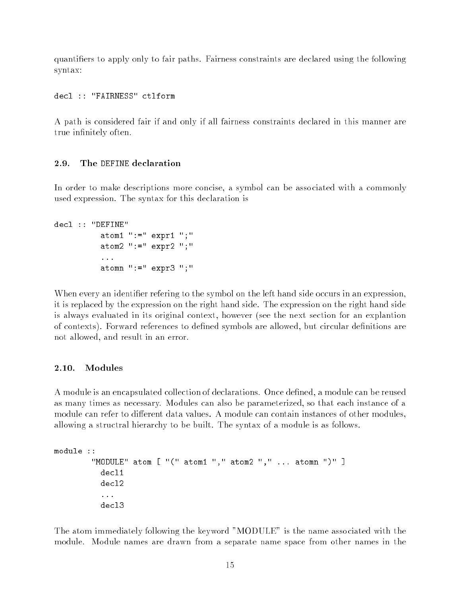quantiers to apply only to fair paths. Fairness constraints are declared using the following syntax:

decl :: "FAIRNESS" ctlform

A path is considered fair if and only if all fairness constraints declared in this manner are true infinitely often.

### 2.9. The DEFINE declaration

In order to make descriptions more concise, a symbol can be associated with a commonly used expression. The syntax for this declaration is

```
decl :: "DEFINE"
          atom1 ":=" expr1 ";"
          atom2 ":=" expr2 ";"
          ...
          atomn " := " expr3";"
```
When every an identifier refering to the symbol on the left hand side occurs in an expression, it is replaced by the expression on the right hand side. The expression on the right hand side is always evaluated in its original context, however (see the next section for an explantion of contexts). Forward references to defined symbols are allowed, but circular definitions are not allowed, and result in an error.

A module is an encapsulated collection of declarations. Once defined, a module can be reused as many times as necessary. Modules can also be parameterized, so that each instance of a module can refer to different data values. A module can contain instances of other modules, allowing a structral hierarchy to be built. The syntax of a module is as follows.

```
module ::
        "MODULE" atom [ "(" atom1 "," atom2 "," ... atomn ")" ]
          decl1
          decl2
          ...
          decl3
```
The atom immediately following the keyword "MODULE" is the name associated with the module. Module names are drawn from a separate name space from other names in the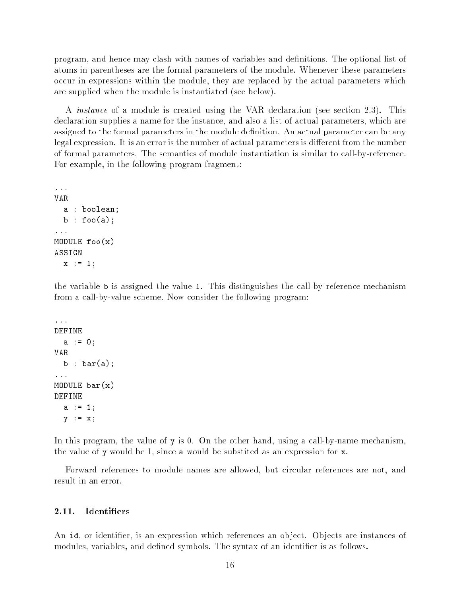program, and hence may clash with names of variables and definitions. The optional list of atoms in parentheses are the formal parameters of the module. Whenever these parameters occur in expressions within the module, they are replaced by the actual parameters which are supplied when the module is instantiated (see below).

A instance of a module is created using the VAR declaration (see section 2.3). This declaration supplies a name for the instance, and also a list of actual parameters, which are assigned to the formal parameters in the module definition. An actual parameter can be any legal expression. It is an error is the number of actual parameters is different from the number of formal parameters. The semantics of module instantiation is similar to call-by-reference. For example, in the following program fragment:

```
...
VAR
  a : boolean;
 b : foo(a);...
MODULE foo(x)ASSIGN
 x := 1;
```
the variable b is assigned the value 1. This distinguishes the call-by reference mechanism from a call-by-value scheme. Now consider the following program:

```
...
DEFINE
  a := 0;VAR
  b : bar(a);...
MODULE bar(x)
DEFINE
  a := 1;y := x;
```
In this program, the value of y is 0. On the other hand, using a call-by-name mechanism, the value of y would be 1, since a would be substited as an expression for x.

Forward references to module names are allowed, but circular references are not, and result in an error.

### 2.11. Identiers

An id, or identifier, is an expression which references an object. Objects are instances of modules, variables, and defined symbols. The syntax of an identifier is as follows.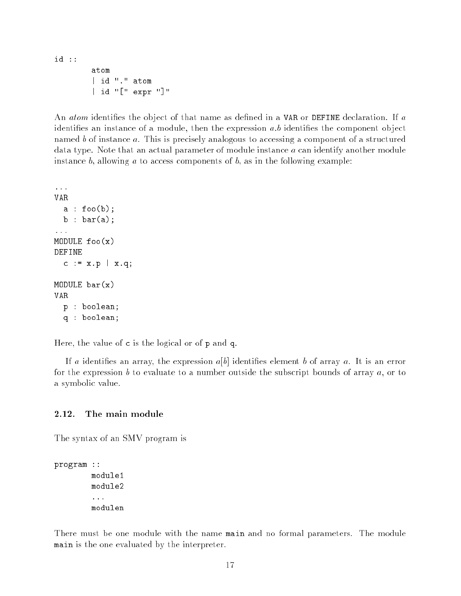id ::

atom | id "." atom | id "[" expr "]"

An *atom* identifies the object of that name as defined in a VAR or DEFINE declaration. If a identifies an instance of a module, then the expression  $a,b$  identifies the component object named b of instance a. This is precisely analogous to accessing a component of a structured data type. Note that an actual parameter of module instance a can identify another module instance  $b$ , allowing  $a$  to access components of  $b$ , as in the following example:

```
...
VAR
  a : foo(b);b : bar(a);...
MODULE foo(x)
DEFINE
  c := x.p \, | \, x.q;MODULE bar(x)
VAR
  p : boolean;
  q : boolean;
```
Here, the value of c is the logical or of p and q.

If a identifies an array, the expression  $a[b]$  identifies element b of array a. It is an error for the expression b to evaluate to a number outside the subscript bounds of array  $a$ , or to a symbolic value.

### 2.12. The main module

The syntax of an SMV program is

```
program ::
        module1
        ...
        modulen
```
There must be one module with the name main and no formal parameters. The module main is the one evaluated by the interpreter.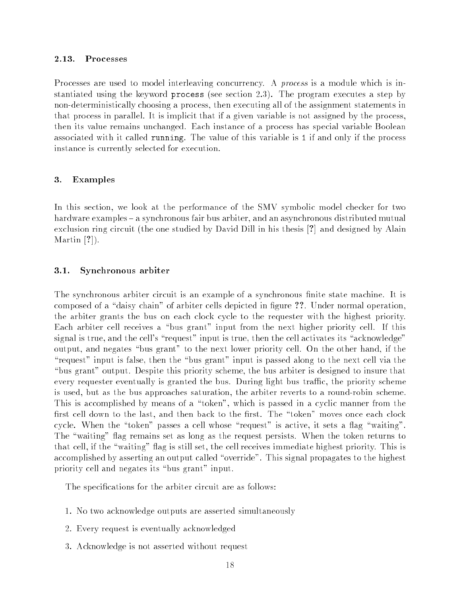### 2.13. Processes

Processes are used to model interleaving concurrency. A *process* is a module which is instantiated using the keyword process (see section 2.3). The program executes a step by non-deterministically choosing a process, then executing all of the assignment statements in that process in parallel. It is implicit that if a given variable is not assigned by the process, then its value remains unchanged. Each instance of a process has special variable Boolean associated with it called running. The value of this variable is 1 if and only if the process instance is currently selected for execution.

## 3. Examples

In this section, we look at the performance of the SMV symbolic model checker for two hardware examples – a synchronous fair bus arbiter, and an asynchronous distributed mutual exclusion ring circuit (the one studied by David Dill in his thesis [?] and designed by Alain Martin [?]).

#### Synchronous arbiter  $3.1.$

The synchronous arbiter circuit is an example of a synchronous finite state machine. It is composed of a "daisy chain" of arbiter cells depicted in figure ??. Under normal operation, the arbiter grants the bus on each clock cycle to the requester with the highest priority. Each arbiter cell receives a "bus grant" input from the next higher priority cell. If this signal is true, and the cell's "request" input is true, then the cell activates its "acknowledge" output, and negates "bus grant" to the next lower priority cell. On the other hand, if the "request" input is false, then the "bus grant" input is passed along to the next cell via the "bus grant" output. Despite this priority scheme, the bus arbiter is designed to insure that every requester eventually is granted the bus. During light bus traffic, the priority scheme is used, but as the bus approaches saturation, the arbiter reverts to a round-robin scheme. This is accomplished by means of a \token", which is passed in a cyclic manner from the first cell down to the last, and then back to the first. The "token" moves once each clock cycle. When the "token" passes a cell whose "request" is active, it sets a flag "waiting". The "waiting" flag remains set as long as the request persists. When the token returns to that cell, if the "waiting" flag is still set, the cell receives immediate highest priority. This is accomplished by asserting an output called "override". This signal propagates to the highest priority cell and negates its "bus grant" input.

The specications for the arbiter circuit are as follows:

- 1. No two acknowledge outputs are asserted simultaneously
- 2. Every request is eventually acknowledged
- 3. Acknowledge is not asserted without request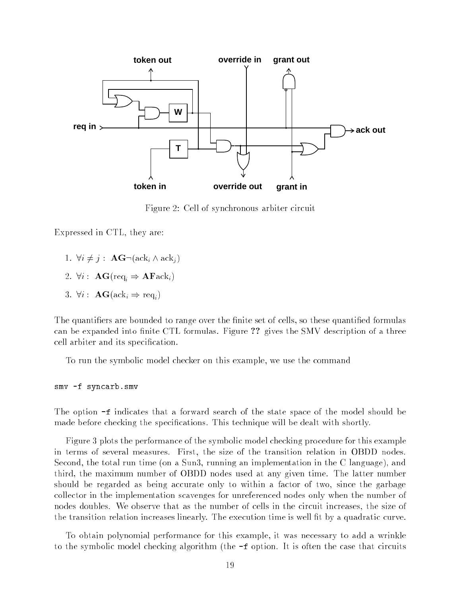

Figure 2: Cell of synchronous arbiter circuit

Expressed in CTL, they are:

- 1.  $\forall i \neq j$  :  $\mathbf{AG} \neg (\text{ack}_i \land \text{ack}_i )$
- 2.  $\forall i$  :  $\mathbf{AG}(\text{req}_i \Rightarrow \mathbf{AFack}_i)$
- 3.  $\forall i : \mathbf{AG}(\text{ack}_i \Rightarrow \text{req}_i)$

The quantifiers are bounded to range over the finite set of cells, so these quantified formulas can be expanded into finite CTL formulas. Figure ?? gives the SMV description of a three cell arbiter and its specification.

To run the symbolic model checker on this example, we use the command

smv -f syncarb.smv

The option -f indicates that a forward search of the state space of the model should be made before checking the specifications. This technique will be dealt with shortly.

Figure 3 plots the performance of the symbolic model checking procedure for this example in terms of several measures. First, the size of the transition relation in OBDD nodes. Second, the total run time (on a Sun3, running an implementation in the C language), and third, the maximum number of OBDD nodes used at any given time. The latter number should be regarded as being accurate only to within a factor of two, since the garbage collector in the implementation scavenges for unreferenced nodes only when the number of nodes doubles. We observe that as the number of cells in the circuit increases, the size of the transition relation increases linearly. The execution time is well fit by a quadratic curve.

To obtain polynomial performance for this example, it was necessary to add a wrinkle to the symbolic model checking algorithm (the -f option. It is often the case that circuits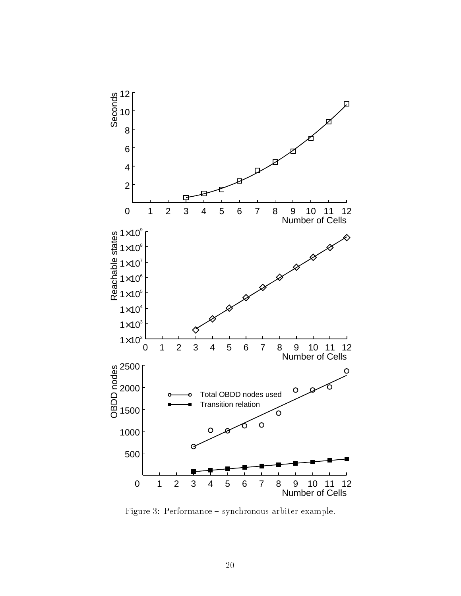

Figure 3: Performance  $-$  synchronous arbiter example.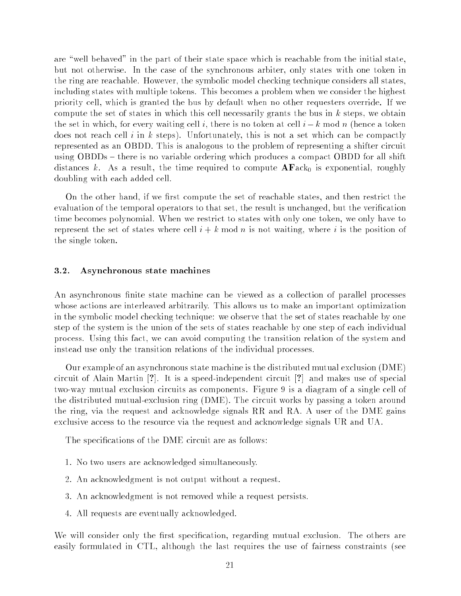are "well behaved" in the part of their state space which is reachable from the initial state, but not otherwise. In the case of the synchronous arbiter, only states with one token in the ring are reachable. However, the symbolic model checking technique considers all states, including states with multiple tokens. This becomes a problem when we consider the highest priority cell, which is granted the bus by default when no other requesters override. If we compute the set of states in which this cell necessarily grants the bus in  $k$  steps, we obtain the set in which, for every waiting cell i, there is no token at cell  $i - k \mod n$  (hence a token does not reach cell i in k steps). Unfortunately, this is not a set which can be compactly represented as an OBDD. This is analogous to the problem of representing a shifter circuit using OBDDs – there is no variable ordering which produces a compact OBDD for all shift distances k. As a result, the time required to compute  $AFack_0$  is exponential, roughly doubling with each added cell.

On the other hand, if we first compute the set of reachable states, and then restrict the evaluation of the temporal operators to that set, the result is unchanged, but the verification time becomes polynomial. When we restrict to states with only one token, we only have to represent the set of states where cell  $i + k \mod n$  is not waiting, where i is the position of the single token.

#### $3.2.$ Asynchronous state machines

An asynchronous finite state machine can be viewed as a collection of parallel processes whose actions are interleaved arbitrarily. This allows us to make an important optimization in the symbolic model checking technique: we observe that the set of states reachable by one step of the system is the union of the sets of states reachable by one step of each individual process. Using this fact, we can avoid computing the transition relation of the system and instead use only the transition relations of the individual processes.

Our example of an asynchronous state machine is the distributed mutual exclusion (DME) circuit of Alain Martin [?]. It is a speed-independent circuit [?] and makes use of special two-way mutual exclusion circuits as components. Figure 9 is a diagram of a single cell of the distributed mutual-exclusion ring (DME). The circuit works by passing a token around the ring, via the request and acknowledge signals RR and RA. A user of the DME gains exclusive access to the resource via the request and acknowledge signals UR and UA.

The specifications of the DME circuit are as follows:

- 1. No two users are acknowledged simultaneously.
- 2. An acknowledgment is not output without a request.
- 3. An acknowledgment is not removed while a request persists.
- 4. All requests are eventually acknowledged.

We will consider only the first specification, regarding mutual exclusion. The others are easily formulated in CTL, although the last requires the use of fairness constraints (see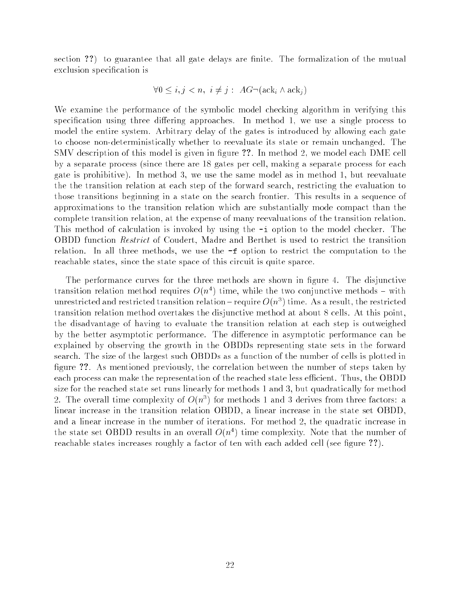section ??) to guarantee that all gate delays are finite. The formalization of the mutual exclusion specification is

$$
\forall 0 \le i, j < n, \ i \neq j : \ AG \neg(\text{ack}_i \land \text{ack}_j)
$$

We examine the performance of the symbolic model checking algorithm in verifying this specification using three differing approaches. In method 1, we use a single process to model the entire system. Arbitrary delay of the gates is introduced by allowing each gate to choose non-deterministically whether to reevaluate its state or remain unchanged. The SMV description of this model is given in figure ??. In method 2, we model each DME cell by a separate process (since there are 18 gates per cell, making a separate process for each gate is prohibitive). In method 3, we use the same model as in method 1, but reevaluate the the transition relation at each step of the forward search, restricting the evaluation to those transitions beginning in a state on the search frontier. This results in a sequence of approximations to the transition relation which are substantially mode compact than the complete transition relation, at the expense of many reevaluations of the transition relation. This method of calculation is invoked by using the -i option to the model checker. The OBDD function Restrict of Coudert, Madre and Berthet is used to restrict the transition relation. In all three methods, we use the -f option to restrict the computation to the reachable states, since the state space of this circuit is quite sparce.

The performance curves for the three methods are shown in figure 4. The disjunctive transition relation method requires  $O(n^4)$  time, while the two conjunctive methods – with unrestricted and restricted transition relation – require  $O(n^3)$  time. As a result, the restricted transition relation method overtakes the disjunctive method at about 8 cells. At this point, the disadvantage of having to evaluate the transition relation at each step is outweighed by the better asymptotic performance. The difference in asymptotic performance can be explained by observing the growth in the OBDDs representing state sets in the forward search. The size of the largest such OBDDs as a function of the number of cells is plotted in figure ??. As mentioned previously, the correlation between the number of steps taken by each process can make the representation of the reached state less efficient. Thus, the OBDD size for the reached state set runs linearly for methods 1 and 3, but quadratically for method 2. The overall time complexity of  $O(n^3)$  for methods 1 and 3 derives from three factors: a linear increase in the transition relation OBDD, a linear increase in the state set OBDD, and a linear increase in the number of iterations. For method 2, the quadratic increase in the state set OBDD results in an overall  $O(n^4)$  time complexity. Note that the number of reachable states increases roughly a factor of ten with each added cell (see figure ??).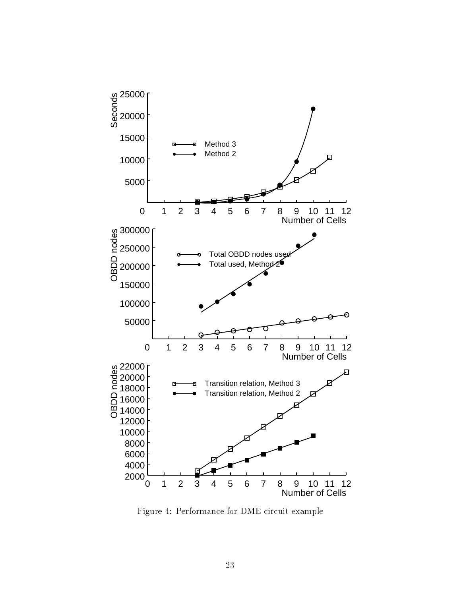

Figure 4: Performance for DME circuit example